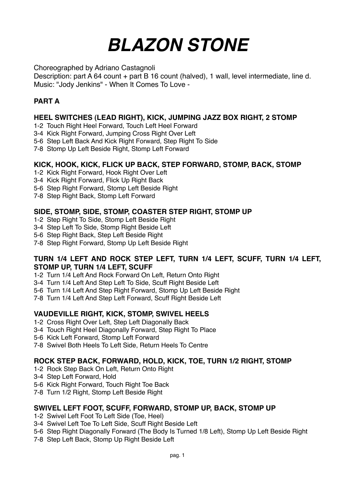# *BLAZON STONE*

Choreographed by Adriano Castagnoli

Description: part A 64 count + part B 16 count (halved), 1 wall, level intermediate, line d. Music: "Jody Jenkins" - When It Comes To Love -

# **PART A**

## **HEEL SWITCHES (LEAD RIGHT), KICK, JUMPING JAZZ BOX RIGHT, 2 STOMP**

- 1-2 Touch Right Heel Forward, Touch Left Heel Forward
- 3-4 Kick Right Forward, Jumping Cross Right Over Left
- 5-6 Step Left Back And Kick Right Forward, Step Right To Side
- 7-8 Stomp Up Left Beside Right, Stomp Left Forward

## **KICK, HOOK, KICK, FLICK UP BACK, STEP FORWARD, STOMP, BACK, STOMP**

- 1-2 Kick Right Forward, Hook Right Over Left
- 3-4 Kick Right Forward, Flick Up Right Back
- 5-6 Step Right Forward, Stomp Left Beside Right
- 7-8 Step Right Back, Stomp Left Forward

## **SIDE, STOMP, SIDE, STOMP, COASTER STEP RIGHT, STOMP UP**

- 1-2 Step Right To Side, Stomp Left Beside Right
- 3-4 Step Left To Side, Stomp Right Beside Left
- 5-6 Step Right Back, Step Left Beside Right
- 7-8 Step Right Forward, Stomp Up Left Beside Right

#### **TURN 1/4 LEFT AND ROCK STEP LEFT, TURN 1/4 LEFT, SCUFF, TURN 1/4 LEFT, STOMP UP, TURN 1/4 LEFT, SCUFF**

- 1-2 Turn 1/4 Left And Rock Forward On Left, Return Onto Right
- 3-4 Turn 1/4 Left And Step Left To Side, Scuff Right Beside Left
- 5-6 Turn 1/4 Left And Step Right Forward, Stomp Up Left Beside Right
- 7-8 Turn 1/4 Left And Step Left Forward, Scuff Right Beside Left

#### **VAUDEVILLE RIGHT, KICK, STOMP, SWIVEL HEELS**

- 1-2 Cross Right Over Left, Step Left Diagonally Back
- 3-4 Touch Right Heel Diagonally Forward, Step Right To Place
- 5-6 Kick Left Forward, Stomp Left Forward
- 7-8 Swivel Both Heels To Left Side, Return Heels To Centre

## **ROCK STEP BACK, FORWARD, HOLD, KICK, TOE, TURN 1/2 RIGHT, STOMP**

- 1-2 Rock Step Back On Left, Return Onto Right
- 3-4 Step Left Forward, Hold
- 5-6 Kick Right Forward, Touch Right Toe Back
- 7-8 Turn 1/2 Right, Stomp Left Beside Right

#### **SWIVEL LEFT FOOT, SCUFF, FORWARD, STOMP UP, BACK, STOMP UP**

- 1-2 Swivel Left Foot To Left Side (Toe, Heel)
- 3-4 Swivel Left Toe To Left Side, Scuff Right Beside Left
- 5-6 Step Right Diagonally Forward (The Body Is Turned 1/8 Left), Stomp Up Left Beside Right
- 7-8 Step Left Back, Stomp Up Right Beside Left